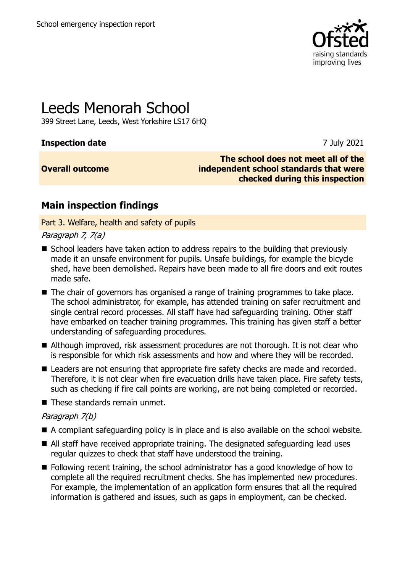

# Leeds Menorah School

399 Street Lane, Leeds, West Yorkshire LS17 6HQ

# **Inspection date** 7 July 2021

# **Overall outcome**

**The school does not meet all of the independent school standards that were checked during this inspection**

# **Main inspection findings**

Part 3. Welfare, health and safety of pupils

## Paragraph 7, 7(a)

- School leaders have taken action to address repairs to the building that previously made it an unsafe environment for pupils. Unsafe buildings, for example the bicycle shed, have been demolished. Repairs have been made to all fire doors and exit routes made safe.
- The chair of governors has organised a range of training programmes to take place. The school administrator, for example, has attended training on safer recruitment and single central record processes. All staff have had safeguarding training. Other staff have embarked on teacher training programmes. This training has given staff a better understanding of safeguarding procedures.
- Although improved, risk assessment procedures are not thorough. It is not clear who is responsible for which risk assessments and how and where they will be recorded.
- Leaders are not ensuring that appropriate fire safety checks are made and recorded. Therefore, it is not clear when fire evacuation drills have taken place. Fire safety tests, such as checking if fire call points are working, are not being completed or recorded.
- These standards remain unmet.

# Paragraph 7(b)

- A compliant safeguarding policy is in place and is also available on the school website.
- All staff have received appropriate training. The designated safeguarding lead uses regular quizzes to check that staff have understood the training.
- Following recent training, the school administrator has a good knowledge of how to complete all the required recruitment checks. She has implemented new procedures. For example, the implementation of an application form ensures that all the required information is gathered and issues, such as gaps in employment, can be checked.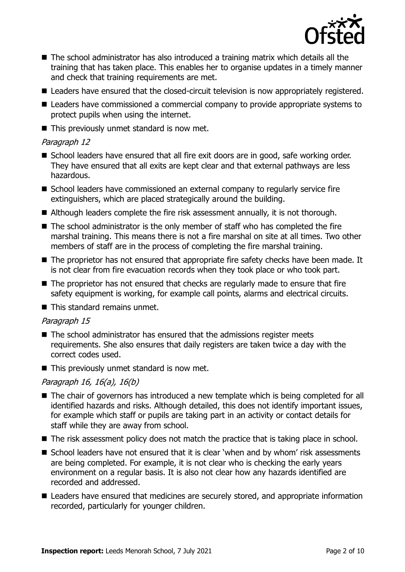

- The school administrator has also introduced a training matrix which details all the training that has taken place. This enables her to organise updates in a timely manner and check that training requirements are met.
- Leaders have ensured that the closed-circuit television is now appropriately registered.
- Leaders have commissioned a commercial company to provide appropriate systems to protect pupils when using the internet.
- This previously unmet standard is now met.

## Paragraph 12

- School leaders have ensured that all fire exit doors are in good, safe working order. They have ensured that all exits are kept clear and that external pathways are less hazardous.
- School leaders have commissioned an external company to regularly service fire extinguishers, which are placed strategically around the building.
- Although leaders complete the fire risk assessment annually, it is not thorough.
- The school administrator is the only member of staff who has completed the fire marshal training. This means there is not a fire marshal on site at all times. Two other members of staff are in the process of completing the fire marshal training.
- The proprietor has not ensured that appropriate fire safety checks have been made. It is not clear from fire evacuation records when they took place or who took part.
- The proprietor has not ensured that checks are regularly made to ensure that fire safety equipment is working, for example call points, alarms and electrical circuits.
- This standard remains unmet.

# Paragraph 15

- The school administrator has ensured that the admissions register meets requirements. She also ensures that daily registers are taken twice a day with the correct codes used.
- This previously unmet standard is now met.

# Paragraph 16, 16(a), 16(b)

- The chair of governors has introduced a new template which is being completed for all identified hazards and risks. Although detailed, this does not identify important issues, for example which staff or pupils are taking part in an activity or contact details for staff while they are away from school.
- The risk assessment policy does not match the practice that is taking place in school.
- School leaders have not ensured that it is clear 'when and by whom' risk assessments are being completed. For example, it is not clear who is checking the early years environment on a regular basis. It is also not clear how any hazards identified are recorded and addressed.
- Leaders have ensured that medicines are securely stored, and appropriate information recorded, particularly for younger children.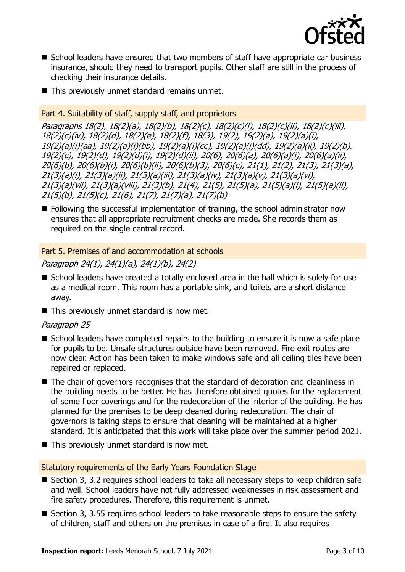

- School leaders have ensured that two members of staff have appropriate car business insurance, should they need to transport pupils. Other staff are still in the process of checking their insurance details.
- This previously unmet standard remains unmet.

# Part 4. Suitability of staff, supply staff, and proprietors

Paragraphs 18(2), 18(2)(a), 18(2)(b), 18(2)(c), 18(2)(c)(i), 18(2)(c)(ii), 18(2)(c)(iii), 18(2)(c)(iv), 18(2)(d), 18(2)(e), 18(2)(f), 18(3), 19(2), 19(2)(a), 19(2)(a)(i), 19(2)(a)(i)(aa), 19(2)(a)(i)(bb), 19(2)(a)(i)(cc), 19(2)(a)(i)(dd), 19(2)(a)(ii), 19(2)(b), 19(2)(c), 19(2)(d), 19(2)(d)(i), 19(2)(d)(ii), 20(6), 20(6)(a), 20(6)(a)(i), 20(6)(a)(ii), 20(6)(b), 20(6)(b)(i), 20(6)(b)(ii), 20(6)(b)(3), 20(6)(c), 21(1), 21(2), 21(3), 21(3)(a), 21(3)(a)(i), 21(3)(a)(ii), 21(3)(a)(iii), 21(3)(a)(iv), 21(3)(a)(v), 21(3)(a)(vi), 21(3)(a)(vii), 21(3)(a)(viii), 21(3)(b), 21(4), 21(5), 21(5)(a), 21(5)(a)(i), 21(5)(a)(ii), 21(5)(b), 21(5)(c), 21(6), 21(7), 21(7)(a), 21(7)(b)

■ Following the successful implementation of training, the school administrator now ensures that all appropriate recruitment checks are made. She records them as required on the single central record.

# Part 5. Premises of and accommodation at schools

Paragraph 24(1), 24(1)(a), 24(1)(b), 24(2)

- School leaders have created a totally enclosed area in the hall which is solely for use as a medical room. This room has a portable sink, and toilets are a short distance away.
- This previously unmet standard is now met.

# Paragraph 25

- School leaders have completed repairs to the building to ensure it is now a safe place for pupils to be. Unsafe structures outside have been removed. Fire exit routes are now clear. Action has been taken to make windows safe and all ceiling tiles have been repaired or replaced.
- The chair of governors recognises that the standard of decoration and cleanliness in the building needs to be better. He has therefore obtained quotes for the replacement of some floor coverings and for the redecoration of the interior of the building. He has planned for the premises to be deep cleaned during redecoration. The chair of governors is taking steps to ensure that cleaning will be maintained at a higher standard. It is anticipated that this work will take place over the summer period 2021.
- This previously unmet standard is now met.

### Statutory requirements of the Early Years Foundation Stage

- Section 3, 3.2 requires school leaders to take all necessary steps to keep children safe and well. School leaders have not fully addressed weaknesses in risk assessment and fire safety procedures. Therefore, this requirement is unmet.
- Section 3, 3.55 requires school leaders to take reasonable steps to ensure the safety of children, staff and others on the premises in case of a fire. It also requires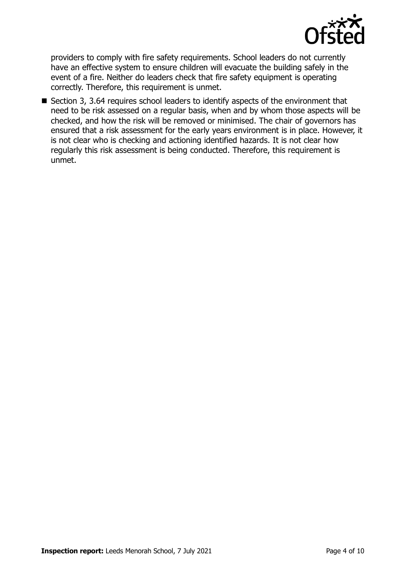

providers to comply with fire safety requirements. School leaders do not currently have an effective system to ensure children will evacuate the building safely in the event of a fire. Neither do leaders check that fire safety equipment is operating correctly. Therefore, this requirement is unmet.

■ Section 3, 3.64 requires school leaders to identify aspects of the environment that need to be risk assessed on a regular basis, when and by whom those aspects will be checked, and how the risk will be removed or minimised. The chair of governors has ensured that a risk assessment for the early years environment is in place. However, it is not clear who is checking and actioning identified hazards. It is not clear how regularly this risk assessment is being conducted. Therefore, this requirement is unmet.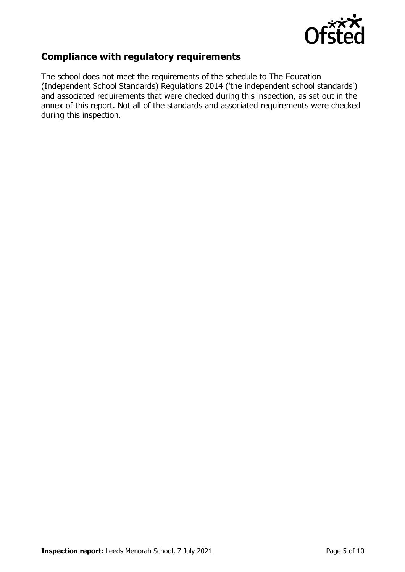

# **Compliance with regulatory requirements**

The school does not meet the requirements of the schedule to The Education (Independent School Standards) Regulations 2014 ('the independent school standards') and associated requirements that were checked during this inspection, as set out in the annex of this report. Not all of the standards and associated requirements were checked during this inspection.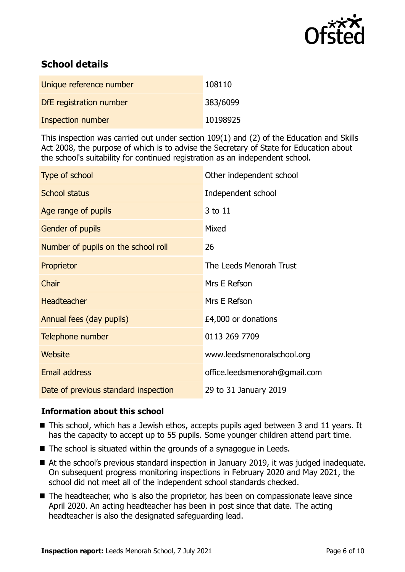

# **School details**

| Unique reference number  | 108110   |
|--------------------------|----------|
| DfE registration number  | 383/6099 |
| <b>Inspection number</b> | 10198925 |

This inspection was carried out under section 109(1) and (2) of the Education and Skills Act 2008, the purpose of which is to advise the Secretary of State for Education about the school's suitability for continued registration as an independent school.

| Type of school                       | Other independent school      |
|--------------------------------------|-------------------------------|
| <b>School status</b>                 | Independent school            |
| Age range of pupils                  | 3 to 11                       |
| Gender of pupils                     | Mixed                         |
| Number of pupils on the school roll  | 26                            |
| Proprietor                           | The Leeds Menorah Trust       |
| Chair                                | Mrs E Refson                  |
| Headteacher                          | Mrs E Refson                  |
| Annual fees (day pupils)             | £4,000 or donations           |
| Telephone number                     | 0113 269 7709                 |
| <b>Website</b>                       | www.leedsmenoralschool.org    |
| <b>Email address</b>                 | office.leedsmenorah@gmail.com |
| Date of previous standard inspection | 29 to 31 January 2019         |

# **Information about this school**

- This school, which has a Jewish ethos, accepts pupils aged between 3 and 11 years. It has the capacity to accept up to 55 pupils. Some younger children attend part time.
- The school is situated within the grounds of a synagogue in Leeds.
- At the school's previous standard inspection in January 2019, it was judged inadequate. On subsequent progress monitoring inspections in February 2020 and May 2021, the school did not meet all of the independent school standards checked.
- The headteacher, who is also the proprietor, has been on compassionate leave since April 2020. An acting headteacher has been in post since that date. The acting headteacher is also the designated safeguarding lead.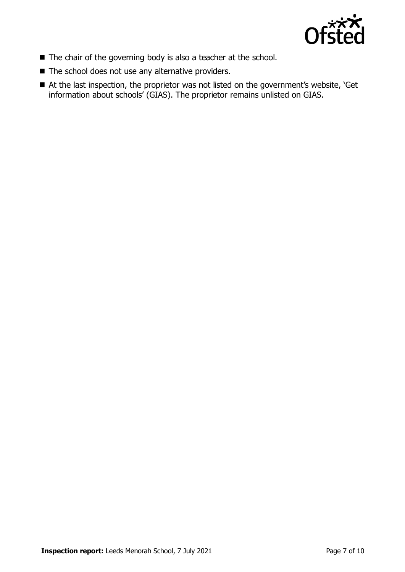

- The chair of the governing body is also a teacher at the school.
- The school does not use any alternative providers.
- At the last inspection, the proprietor was not listed on the government's website, 'Get information about schools' (GIAS). The proprietor remains unlisted on GIAS.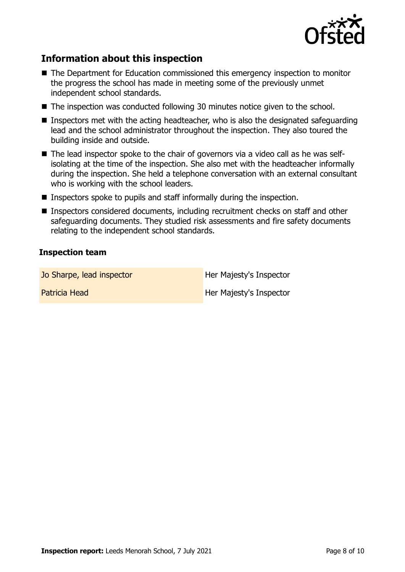

# **Information about this inspection**

- The Department for Education commissioned this emergency inspection to monitor the progress the school has made in meeting some of the previously unmet independent school standards.
- The inspection was conducted following 30 minutes notice given to the school.
- $\blacksquare$  Inspectors met with the acting headteacher, who is also the designated safeguarding lead and the school administrator throughout the inspection. They also toured the building inside and outside.
- The lead inspector spoke to the chair of governors via a video call as he was selfisolating at the time of the inspection. She also met with the headteacher informally during the inspection. She held a telephone conversation with an external consultant who is working with the school leaders.
- Inspectors spoke to pupils and staff informally during the inspection.
- Inspectors considered documents, including recruitment checks on staff and other safeguarding documents. They studied risk assessments and fire safety documents relating to the independent school standards.

## **Inspection team**

Jo Sharpe, lead inspector **Her Majesty's Inspector** 

Patricia Head **Her Majesty's Inspector**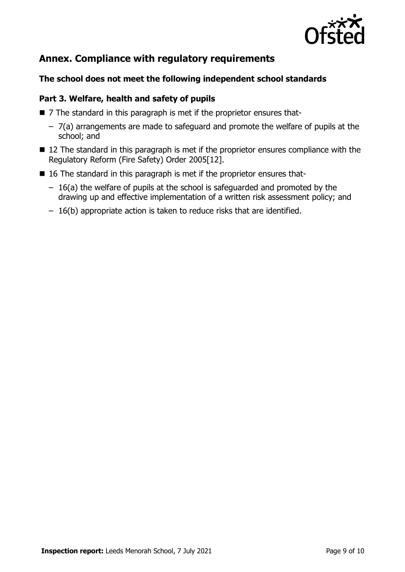

# **Annex. Compliance with regulatory requirements**

# **The school does not meet the following independent school standards**

# **Part 3. Welfare, health and safety of pupils**

- 7 The standard in this paragraph is met if the proprietor ensures that-
	- 7(a) arrangements are made to safeguard and promote the welfare of pupils at the school; and
- 12 The standard in this paragraph is met if the proprietor ensures compliance with the Regulatory Reform (Fire Safety) Order 2005[12].
- 16 The standard in this paragraph is met if the proprietor ensures that-
	- 16(a) the welfare of pupils at the school is safeguarded and promoted by the drawing up and effective implementation of a written risk assessment policy; and
	- 16(b) appropriate action is taken to reduce risks that are identified.